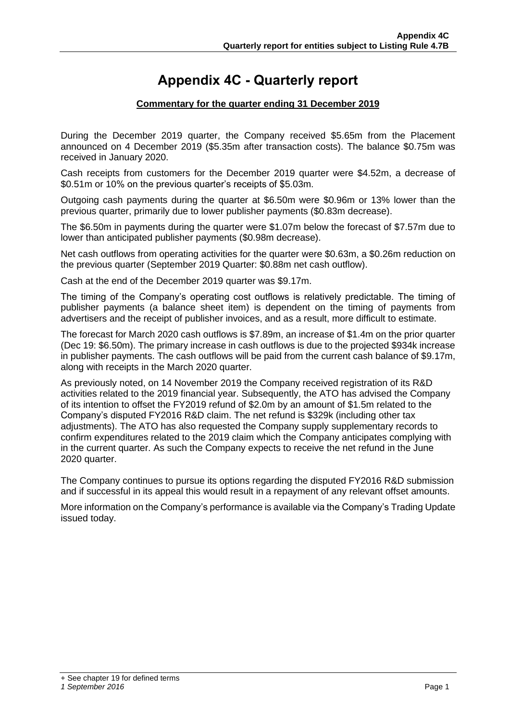# **Appendix 4C - Quarterly report**

#### **Commentary for the quarter ending 31 December 2019**

During the December 2019 quarter, the Company received \$5.65m from the Placement announced on 4 December 2019 (\$5.35m after transaction costs). The balance \$0.75m was received in January 2020.

Cash receipts from customers for the December 2019 quarter were \$4.52m, a decrease of \$0.51m or 10% on the previous quarter's receipts of \$5.03m.

Outgoing cash payments during the quarter at \$6.50m were \$0.96m or 13% lower than the previous quarter, primarily due to lower publisher payments (\$0.83m decrease).

The \$6.50m in payments during the quarter were \$1.07m below the forecast of \$7.57m due to lower than anticipated publisher payments (\$0.98m decrease).

Net cash outflows from operating activities for the quarter were \$0.63m, a \$0.26m reduction on the previous quarter (September 2019 Quarter: \$0.88m net cash outflow).

Cash at the end of the December 2019 quarter was \$9.17m.

The timing of the Company's operating cost outflows is relatively predictable. The timing of publisher payments (a balance sheet item) is dependent on the timing of payments from advertisers and the receipt of publisher invoices, and as a result, more difficult to estimate.

The forecast for March 2020 cash outflows is \$7.89m, an increase of \$1.4m on the prior quarter (Dec 19: \$6.50m). The primary increase in cash outflows is due to the projected \$934k increase in publisher payments. The cash outflows will be paid from the current cash balance of \$9.17m, along with receipts in the March 2020 quarter.

As previously noted, on 14 November 2019 the Company received registration of its R&D activities related to the 2019 financial year. Subsequently, the ATO has advised the Company of its intention to offset the FY2019 refund of \$2.0m by an amount of \$1.5m related to the Company's disputed FY2016 R&D claim. The net refund is \$329k (including other tax adjustments). The ATO has also requested the Company supply supplementary records to confirm expenditures related to the 2019 claim which the Company anticipates complying with in the current quarter. As such the Company expects to receive the net refund in the June 2020 quarter.

The Company continues to pursue its options regarding the disputed FY2016 R&D submission and if successful in its appeal this would result in a repayment of any relevant offset amounts.

More information on the Company's performance is available via the Company's Trading Update issued today.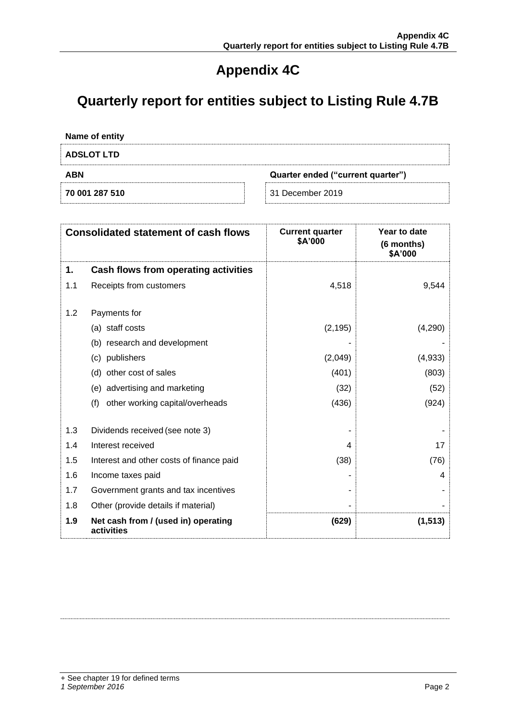# **Appendix 4C**

# **Quarterly report for entities subject to Listing Rule 4.7B**

| Name of entity                                  |                  |  |
|-------------------------------------------------|------------------|--|
| <b>ADSLOT LTD</b>                               |                  |  |
| <b>ABN</b><br>Quarter ended ("current quarter") |                  |  |
| 70 001 287 510                                  | 31 December 2019 |  |

|     | <b>Consolidated statement of cash flows</b>       | <b>Current quarter</b><br>\$A'000 | Year to date<br>(6 months)<br>\$A'000 |
|-----|---------------------------------------------------|-----------------------------------|---------------------------------------|
| 1.  | Cash flows from operating activities              |                                   |                                       |
| 1.1 | Receipts from customers                           | 4,518                             | 9,544                                 |
| 1.2 | Payments for                                      |                                   |                                       |
|     | (a) staff costs                                   | (2, 195)                          | (4,290)                               |
|     | (b) research and development                      |                                   |                                       |
|     | publishers<br>(c)                                 | (2,049)                           | (4,933)                               |
|     | other cost of sales<br>(d)                        | (401)                             | (803)                                 |
|     | (e) advertising and marketing                     | (32)                              | (52)                                  |
|     | (f)<br>other working capital/overheads            | (436)                             | (924)                                 |
| 1.3 | Dividends received (see note 3)                   |                                   |                                       |
| 1.4 | Interest received                                 | 4                                 | 17                                    |
| 1.5 | Interest and other costs of finance paid          | (38)                              | (76)                                  |
| 1.6 | Income taxes paid                                 |                                   | 4                                     |
| 1.7 | Government grants and tax incentives              |                                   |                                       |
| 1.8 | Other (provide details if material)               |                                   |                                       |
| 1.9 | Net cash from / (used in) operating<br>activities | (629)                             | (1, 513)                              |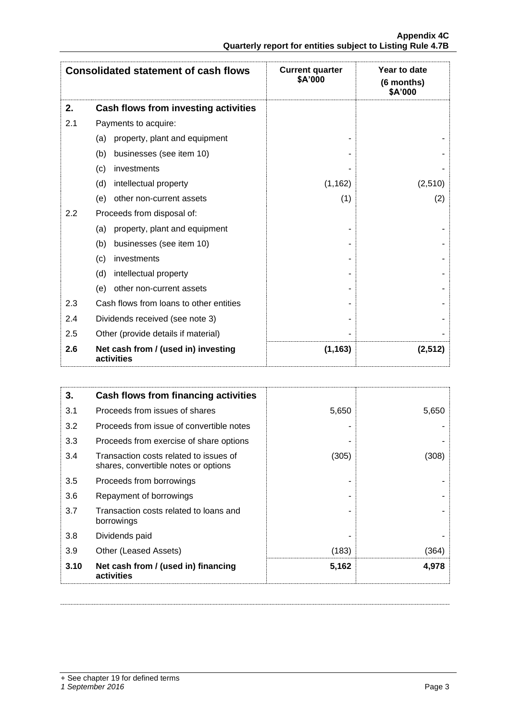|     | <b>Consolidated statement of cash flows</b>       | <b>Current quarter</b><br>\$A'000 | Year to date<br>(6 months)<br>\$A'000 |
|-----|---------------------------------------------------|-----------------------------------|---------------------------------------|
| 2.  | Cash flows from investing activities              |                                   |                                       |
| 2.1 | Payments to acquire:                              |                                   |                                       |
|     | property, plant and equipment<br>(a)              |                                   |                                       |
|     | businesses (see item 10)<br>(b)                   |                                   |                                       |
|     | investments<br>(c)                                |                                   |                                       |
|     | intellectual property<br>(d)                      | (1, 162)                          | (2,510)                               |
|     | other non-current assets<br>(e)                   | (1)                               | (2)                                   |
| 2.2 | Proceeds from disposal of:                        |                                   |                                       |
|     | property, plant and equipment<br>(a)              |                                   |                                       |
|     | businesses (see item 10)<br>(b)                   |                                   |                                       |
|     | investments<br>(c)                                |                                   |                                       |
|     | intellectual property<br>(d)                      |                                   |                                       |
|     | other non-current assets<br>(e)                   |                                   |                                       |
| 2.3 | Cash flows from loans to other entities           |                                   |                                       |
| 2.4 | Dividends received (see note 3)                   |                                   |                                       |
| 2.5 | Other (provide details if material)               |                                   |                                       |
| 2.6 | Net cash from / (used in) investing<br>activities | (1, 163)                          | (2, 512)                              |

| 3.   | Cash flows from financing activities                                           |       |       |
|------|--------------------------------------------------------------------------------|-------|-------|
| 3.1  | Proceeds from issues of shares                                                 | 5,650 | 5,650 |
| 3.2  | Proceeds from issue of convertible notes                                       |       |       |
| 3.3  | Proceeds from exercise of share options                                        |       |       |
| 3.4  | Transaction costs related to issues of<br>shares, convertible notes or options | (305) | (308) |
| 3.5  | Proceeds from borrowings                                                       |       |       |
| 3.6  | Repayment of borrowings                                                        |       |       |
| 3.7  | Transaction costs related to loans and<br>borrowings                           |       |       |
| 3.8  | Dividends paid                                                                 |       |       |
| 3.9  | Other (Leased Assets)                                                          | (183) | (364) |
| 3.10 | Net cash from / (used in) financing<br>activities                              | 5,162 | 4,978 |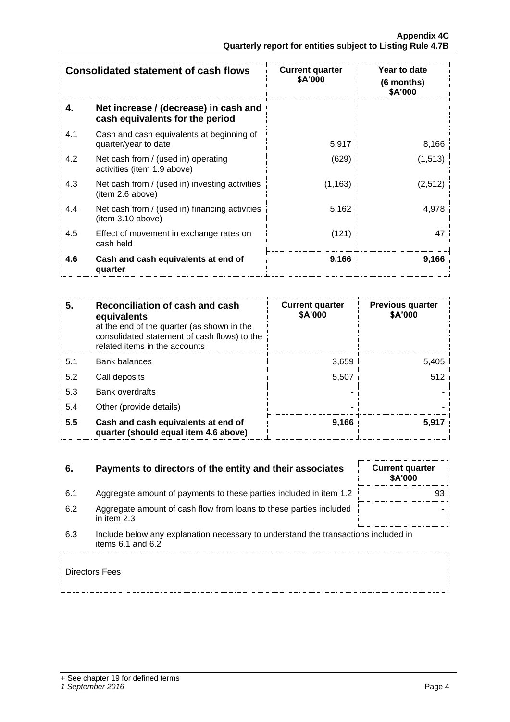|     | <b>Consolidated statement of cash flows</b>                              | <b>Current quarter</b><br>\$A'000 | Year to date<br>(6 months)<br>\$A'000 |
|-----|--------------------------------------------------------------------------|-----------------------------------|---------------------------------------|
| 4.  | Net increase / (decrease) in cash and<br>cash equivalents for the period |                                   |                                       |
| 4.1 | Cash and cash equivalents at beginning of<br>quarter/year to date        | 5,917                             | 8,166                                 |
| 4.2 | Net cash from / (used in) operating<br>activities (item 1.9 above)       | (629)                             | (1, 513)                              |
| 4.3 | Net cash from / (used in) investing activities<br>(item 2.6 above)       | (1, 163)                          | (2,512)                               |
| 4.4 | Net cash from / (used in) financing activities<br>item 3.10 above)       | 5,162                             | 4,978                                 |
| 4.5 | Effect of movement in exchange rates on<br>cash held                     | (121)                             | 47                                    |
| 4.6 | Cash and cash equivalents at end of<br>quarter                           | 9,166                             | 9,166                                 |

| 5.  | Reconciliation of cash and cash<br>equivalents<br>at the end of the quarter (as shown in the<br>consolidated statement of cash flows) to the<br>related items in the accounts | <b>Current quarter</b><br>\$A'000 | <b>Previous quarter</b><br>\$A'000 |
|-----|-------------------------------------------------------------------------------------------------------------------------------------------------------------------------------|-----------------------------------|------------------------------------|
| 5.1 | Bank balances                                                                                                                                                                 | 3,659                             | 5,405                              |
| 5.2 | Call deposits                                                                                                                                                                 | 5,507                             | 512                                |
| 5.3 | Bank overdrafts                                                                                                                                                               |                                   |                                    |
| 5.4 | Other (provide details)                                                                                                                                                       | -                                 |                                    |
| 5.5 | Cash and cash equivalents at end of<br>quarter (should equal item 4.6 above)                                                                                                  | 9,166                             | 5,917                              |

| 6.  | Payments to directors of the entity and their associates                                                    | <b>Current quarter</b><br>\$A'000 |
|-----|-------------------------------------------------------------------------------------------------------------|-----------------------------------|
| 6.1 | Aggregate amount of payments to these parties included in item 1.2                                          | 93                                |
| 6.2 | Aggregate amount of cash flow from loans to these parties included<br>in item 2.3                           |                                   |
| 6.3 | Include below any explanation necessary to understand the transactions included in<br>items $6.1$ and $6.2$ |                                   |
|     | Directors Fees                                                                                              |                                   |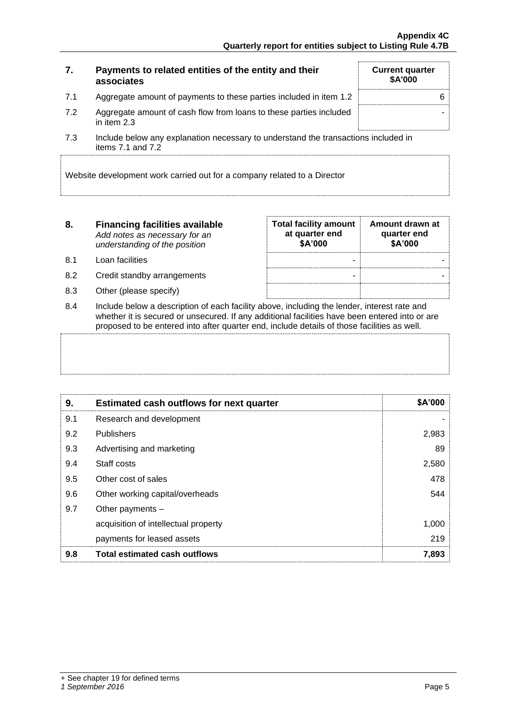| 7.  | Payments to related entities of the entity and their<br>associates                  | <b>Current quarter</b><br><b>\$A'000</b> |
|-----|-------------------------------------------------------------------------------------|------------------------------------------|
| 7.1 | Aggregate amount of payments to these parties included in item 1.2                  | 6                                        |
| 7.2 | Aggregate amount of cash flow from loans to these parties included<br>in item $2.3$ |                                          |

7.3 Include below any explanation necessary to understand the transactions included in items 7.1 and 7.2

Website development work carried out for a company related to a Director

| 8. | <b>Financing facilities available</b> |  |
|----|---------------------------------------|--|
|    | Add notes as necessary for an         |  |
|    | understanding of the position         |  |

- 8.1 Loan facilities
- 8.2 Credit standby arrangements
- 8.3 Other (please specify)

| <b>Total facility amount</b><br>at quarter end<br>\$A'000 | Amount drawn at<br>quarter end<br>\$A'000 |
|-----------------------------------------------------------|-------------------------------------------|
|                                                           |                                           |
|                                                           |                                           |
|                                                           |                                           |

8.4 Include below a description of each facility above, including the lender, interest rate and whether it is secured or unsecured. If any additional facilities have been entered into or are proposed to be entered into after quarter end, include details of those facilities as well.

| 9.  | <b>Estimated cash outflows for next quarter</b> | \$A'000 |
|-----|-------------------------------------------------|---------|
| 9.1 | Research and development                        |         |
| 9.2 | <b>Publishers</b>                               | 2,983   |
| 9.3 | Advertising and marketing                       | 89      |
| 9.4 | Staff costs                                     | 2,580   |
| 9.5 | Other cost of sales                             | 478     |
| 9.6 | Other working capital/overheads                 | 544     |
| 9.7 | Other payments $-$                              |         |
|     | acquisition of intellectual property            | 1,000   |
|     | payments for leased assets                      | 219     |
| 9.8 | <b>Total estimated cash outflows</b>            | 7,893   |